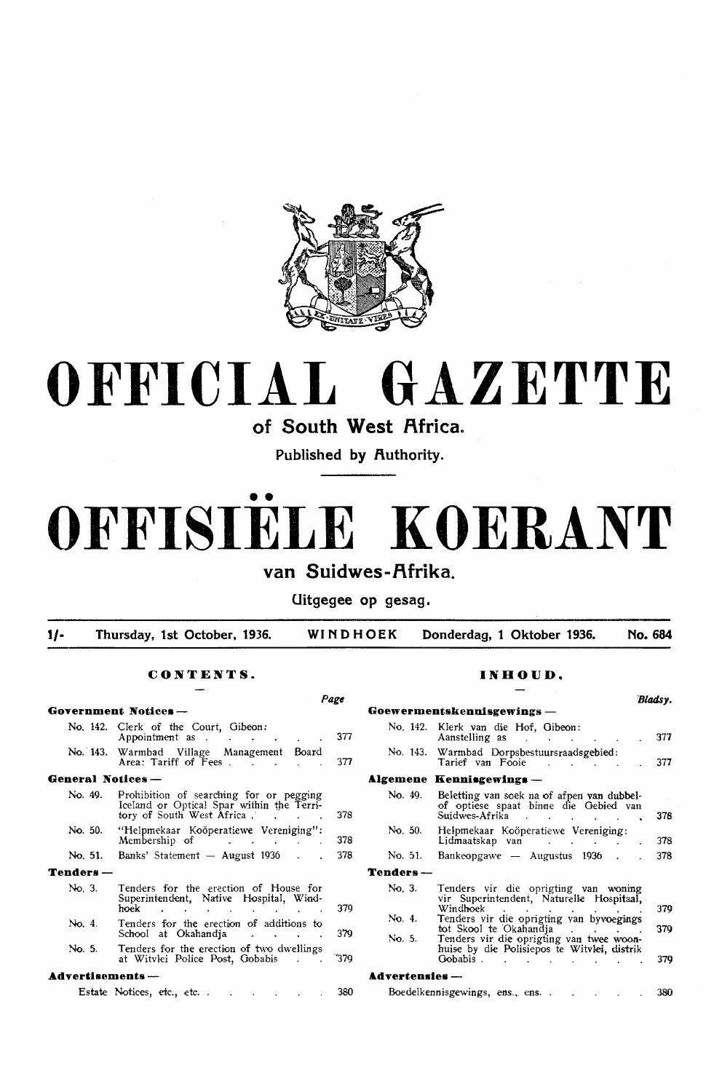

# **OFFICIAL GAZETTE**

**of South West Africa.** 

Published by Authority.

# •• **OFFISIELE KOERANT**  van Suidwes-Afrika.

**Uitgegee op gesag.** 

**1/- Thursday, 1st October, 1936. WINDHOEK Donderdag, 1 Oktober 1936. No. 684** 

### **CONTENTS.**

|                   |                                                                                                                                                                                                                                                                         | Page |
|-------------------|-------------------------------------------------------------------------------------------------------------------------------------------------------------------------------------------------------------------------------------------------------------------------|------|
|                   | Government Notices —                                                                                                                                                                                                                                                    |      |
|                   | No. 142. Clerk of the Court, Gibeon:<br>Appointment as<br><b>Contract</b>                                                                                                                                                                                               | 377  |
|                   | No. 143. Warmbad Village Management Board<br>Area: Tariff of Fees . The state                                                                                                                                                                                           | 377  |
| General Notices — |                                                                                                                                                                                                                                                                         |      |
| No. 49.           | Prohibition of searching for or pegging<br>Iceland or Optical Spar within the Terri-<br>tory of South West Africa                                                                                                                                                       | 378  |
| No. 50.           | "Helpmekaar Koöperatiewe Vereniging":<br>Membership of factor of the contract of the contract of the contract of the contract of the contract of the contract of the contract of the contract of the contract of the contract of the contract of the contract of the co | 378  |
|                   | $\text{No}, 51.$ Banks' Statement — August 1936.                                                                                                                                                                                                                        | 378  |
| Tenders-          |                                                                                                                                                                                                                                                                         |      |
| No. 3.            | Tenders for the erection of House for<br>Superintendent, Native Hospital, Wind-<br>hoek                                                                                                                                                                                 | 379  |
| No. 4.            | Tenders for the erection of additions to<br>School at Okahandja<br>$\overline{a}$ and $\overline{a}$ and $\overline{a}$                                                                                                                                                 | 379  |
| No. 5.            | Tenders for the erection of two dwellings<br>at Witylei Police Post, Gobabis<br><b>Contract Contract Street</b>                                                                                                                                                         | 379  |
| Advertisements -- |                                                                                                                                                                                                                                                                         |      |
|                   | Estate Notices, etc., etc<br><b>Research Control Control Control</b>                                                                                                                                                                                                    | 380  |

### **INHOUD.**

|                |                                                                                                                                                       | 'Bladsv. |
|----------------|-------------------------------------------------------------------------------------------------------------------------------------------------------|----------|
|                | Goewermentskennisgewings —                                                                                                                            |          |
|                | No. 142. Klerk van die Hof, Gibeon:<br>Aanstelling as the contract of the contract of the contract of the contract of the contract of the contract of | 377      |
|                | No. 143. Warmbad Dorpsbestuursraadsgebied:<br>Tarief van Fooie                                                                                        | 377      |
|                | Algemene Kennisgewings —                                                                                                                              |          |
| No. 49.        | Beletting van soek na of afpen van dubbel-<br>of optiese spaat binne die Gebied van<br>Suidwes-Afrika                                                 | 378      |
| No. 50.        | Helpmekaar Koöperatiewe Vereniging:<br>Lidmaatskap van de steed van de steed van de steed van de steed van de steed van de steed van de steed van de  | 378      |
| No. 51.        | Bankeopgawe — Augustus $1936$ .                                                                                                                       | 378      |
| Tenders —      |                                                                                                                                                       |          |
| No. 3.         | Tenders vir die oprigting van woning<br>vir Superintendent, Naturelle Hospitaal,<br>Windhoek                                                          | 379      |
| No. 4.         | Tenders vir die oprigting van byvoegings<br>tot Skool te Okahandia<br>contract the contract of                                                        | 370      |
| No. 5.         | Tenders vir die oprigting van twee woon-<br>huise by die Polisiepos te Witvlei, distrik<br>Gobabis.                                                   | 379      |
| Advertensies — |                                                                                                                                                       |          |
|                | Boedelkennisgewings, ens., ens.                                                                                                                       | 380      |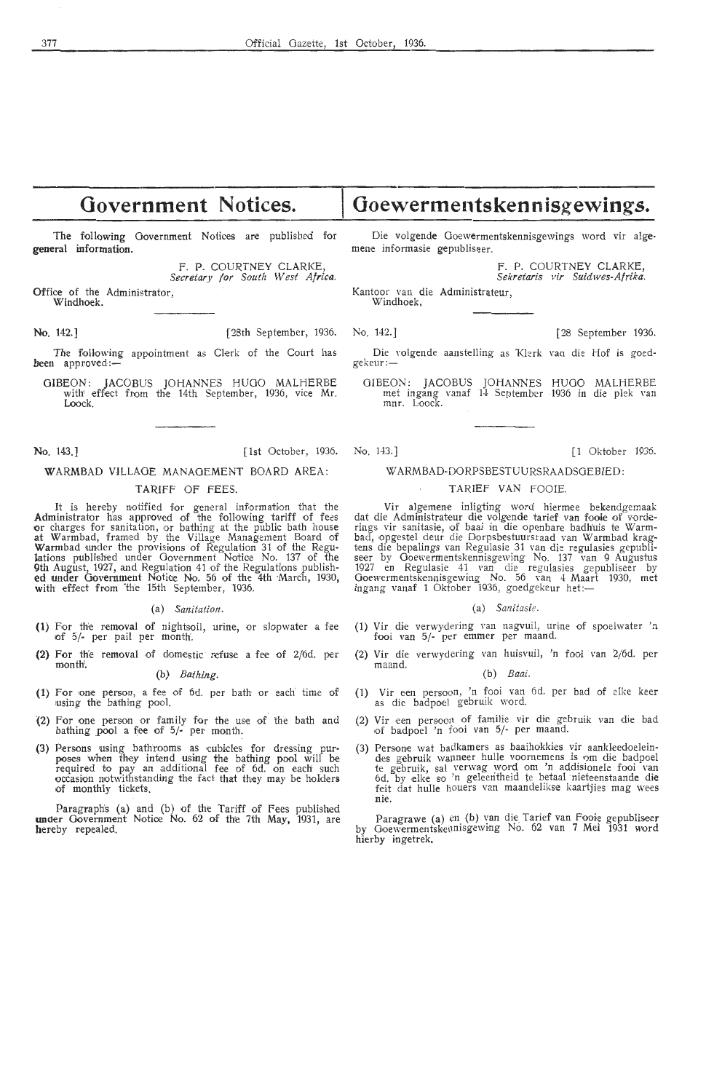# **Government Notices.**

The following Government Notices are published for general information.

> F. P. COURTNEY CLARKE, *Secretary for South West Africs.*

Office of the Administrator, Windhoek.

**No.** 142.] [28th September, 1936. No. 142.] [28 September 1936.

The following appointment as Clerk of the Court has been approved:-

OIBEON: JACOBUS JOHANNES HUGO MALHERBE with effect from the 14th September, 1936, vice Mr. Loock.

No. 143.] [1st October, 1936. No. 143.] [1 Oktober 1936.

### **WARMBAD** VILLAGE MANAGEMENT BOARD AREA:

### TARIFF OF FEES.

It is hereby notified for general information that the **Administrator** has approved of the following tariff of fees **or** charges for sanitation, or bathing at the public bath house at Warmbad, framed by the Village Management Board of Warmbad under the provisions of Regulation 31 of the Regulations published under Government Notice No. 137 of the 9th August, 1927, and Regulafi.on 41 •of the RegulaHons publish-**ed** under Government Notioe No. 56 of the 4th ·Maren, 1930, **with** ,effoct from 'th'e 15th September, 1936.

### (a) *Sanitation.*

- (1) For the removal of nightsoil, urine, or slopwater a fee 10f 5/- per pail per month'.
- (2) For the removal of domestic refuse a fee of  $2/6d$ . per month.

### (b) *Bathing.*

- (1) For one person, a fee of 6d. per bath or each time of using the bathing pool.
- (2) For one person or family for the use of the bath and bathing pool a fee of 5/- per month.
- (3) Persons using bathrooms as cubicles for dressing purposes when they intend using the bathing pool will be required to pay an additional fee of 6d. on each such occasion notwithstanding the fact that they may be holders of monthly tickets.

Paragraph's (a) and (b) of the Tariff of Fees published under Government Notice No. 62 of the 7th May, 1931, are hereby repealed.

Die volgende Goewermentskennisgewings word vir algemene informasie gepubliseer.

**Goewermentskennisgewings.** 

F. P. COURTNEY CLARKE, *Sekretaris vir Suidwes-Afrika.* 

Kantoor van die Administrateur,

Windhoek,

- Die volgende aanstelling as Klerk van die Hof is goed-gekeur :-
- OIBEON: JACOBUS JOHANNES HUGO MALHERBE met ingang vanaf 14 September 1936 **in** die pl ek van mnr. Loock.

### WARMBAD-DORPSBESTUURSRAADSGEBIED:

### TARIEF VAN FOOIE.

Vir algemene inligting word hiermee bekendgemaak dat die Administrateur die volgende tarief van fooie of vorderings vir sanitasie, of baai in die openbare badhuis te Warmbad, opgestel deur die Dorpsbestuursraad van Warmbad kragtens die bepalings van Regulasie 31 van die regulasies gepubli· seer by Ooewermentskennisgewing No. 137 van 9 Augustus 1927 en Regulasie 41 van die regulasies gepubliseer by Ooewermentskennisgewing No. 56 van 4 Maart 1930, met ingang vanaf 1 Oktober 1936, goedgekeur het:-

### (a) *Sanitasie.*

- (1) Vir die verwydering van nagvuil, urine of spoelwater 'n fooi van 5/- per emmer per maand.
- (2) Vir die ve rwydering van huisvuil, 'n fooi van 2/6d. per

### (b) *Baai.*

- (1) Vir een persoon, 'n fooi van 6d. per bad of elke keer as die badpoel gebruik word.
- (2) Vir een persoon of familie vir die gebruik van die bad of badpoel 'n fooi van 5/- per maand.
- (3) Persone wat badkamers as baaihokkies vir aankleedoelein-<br>des gebruik wanneer hulle voornemens is om die badpoel te gebruik, sal verwag word om 'n addisionele fooi van 6d. by elke so 'n geleeritheid te betaal nieteenstaande die feit dat hulle houers van maandelikse kaartjies mag wees nie.

Paragrawe (a) en (b) van die Tarief van Fooie gepubliseer by Ooewennentskeonisgewing No. 62 van 7 Mei 1931 word hierby ingetrek,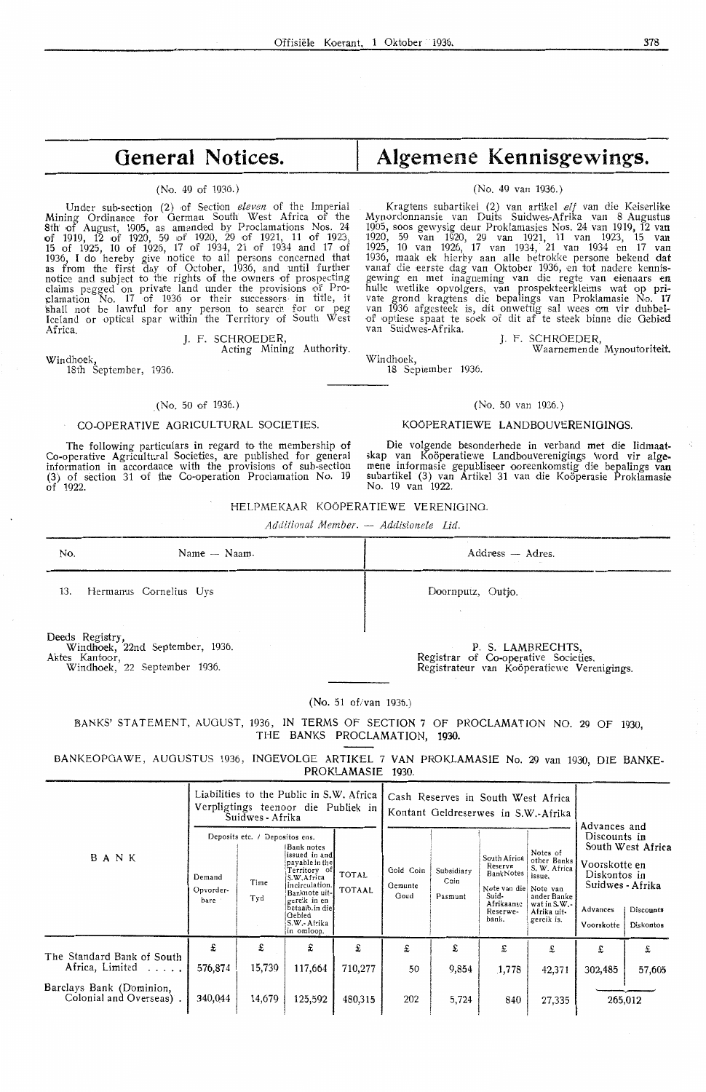# **General Notices.**

### (No. 49 of 1936.)

Under sub-section (2) of Section *eleven* of the Imperial Mining Ordinanoe for German South West Africa of the 8th of August, 1905, as amended by Proclamations Nos. 24 of 1919, 12 of 1920, 59 of 1920, 29 of 1921, 11 of 1923, 15 of 1925, 10 of 1926, 17 of 1934, 21 of 1934 and 17 of 1936, I do hereby give notice to all persons concerned that as from the first day of October, 1936, and until further notioe and subject to the rights of the owners of prospecting claims pegged on private land under the provisions of Proclamation No. 17 of 1936 or their successors in title, it \;hall not be lawful for any person *to* search for or peg Iceland or optical spar within the Territory of South West Africa. J. F. SCHROEDER,

Acting Mining Authority.

Windhoek, 18th September, 1936.

### (No. 50 of 1936.)

### CO-OPERATIVE AGRICULTURAL SOCIETIES.

The following particulars in regard to the membership of Co-operative Agricultural Societies, are published for general information in accordance with the provisions of sub-section (3) of section 31 of the Co-operation Proclamation No. 19  $\hat{of}$  1922.

# **Algemene Kennisgewings.**

### (No. 49 van 1936.)

Kragtens subartikel (2) van artikel elf van die Keiserlike Mynordonnansie van Duits Suidwes-Afrika van 8 Augustus 1905, soos gewysig deur Proklamasies Nos. 24 van 1919, 12 van<br>1920, 59 van 1920, 29 van 1921, 11 van 1923, 15 van<br>1925, 10 van 1926, 17 van 1934, 21 van 1934 en 17 van<br>1936, maak ek hierby aan alle betrokke persone bekend vanaf die eerste dag van Oktober 1936, en tot nadere kennisgewing en met inagneming van die regte van eienaars en<br>hulle wetlike opvolgers, van prospekteerkleims wat op private grond kragtens die bepalings van Proklamasie No. 17<br>van 1936 afgesteek is, dit onwettig sal wees om vir dubbelof optiese spaat te soek of dit af te steek binne die Gebied<br>van Suidwes-Afrika.

J. F. SCHROEDER, Waarnemende Mynoutoriteit

Windhoek, 18 September 1936.

### (No. 50 van 1936.)

### KOOPERA TIEWE LANDBOUVERENIOINOS.

Die volgende besonderhede in verband met die lidmaatskap van Koöperatiewe Landbouverenigings \vord vir alge•<br>mene informasie gepubliseer ooreenkomstig die bepalings van<br>subartikel (3) van Artikel 31 van die Koöperasie Proklamasie No. 19 van 1922.

### HELPMEKAAR KOOPERATIEWE VERENIGINO.

*Additional Member. Addisionele Lid.* 

| No. | Name — Naam.           | Address — Adres.<br>$\sim$ $\sim$ |
|-----|------------------------|-----------------------------------|
| 13. | Hermanus Cornelius Uys | Doornputz, Outjo.                 |

Deeds Registry, Windhoek, 22nd September, 1936. Aktes Kantoor, Windhoek, 22 September 1936.

P. S. LAMBRECHTS, Registrar of Co-operative Societies. Registrateur van Kooperatiewe Verenigings.

### (No. 51 of/van 1936.)

BANKS' STATEMENT, AUGUST, 1936, IN TERMS OF SECTION 7 OF PROCLAMATION NO. 29 OF 1930, THE BANKS PROCLAMATION, **1930.** 

BANKEOPOAWE, AUGUSTUS 1936, INOEVOLOE ARTIKEL 7 VAN PROKLAMASIE No. 29 van 1930, DIE BANKE-PROKLAMASIE 1930.

|                                                     |                             | Suidwes - Afrika                              | Liabilities to the Public in S.W. Africa<br>Verpligtings teenoor die Publiek in                                                                                                            |                               | Cash Reserves in South West Africa<br>Kontant Geldreserwes in S.W.-Afrika |                               |                                                                                                           |                                                                                                              | Advances and                                                                                |                                             |  |
|-----------------------------------------------------|-----------------------------|-----------------------------------------------|--------------------------------------------------------------------------------------------------------------------------------------------------------------------------------------------|-------------------------------|---------------------------------------------------------------------------|-------------------------------|-----------------------------------------------------------------------------------------------------------|--------------------------------------------------------------------------------------------------------------|---------------------------------------------------------------------------------------------|---------------------------------------------|--|
| BANK                                                | Demand<br>Opvorder-<br>bare | Deposits etc. / Depositos ens.<br>Time<br>Tyd | Bank notes<br>issued in and<br>payable in the<br>Territory of<br>S.W.Africa<br>in circulation.<br>Banknote uit-<br>gereik in en<br>betaalb.in diel<br>Gebied<br>S.W.- Afrika<br>in omloop. | <b>TOTAL</b><br><b>TOTAAL</b> | Gold Coin<br>Gemunte<br>Goud                                              | Subsidiary<br>Coin<br>Pasmunt | South Africa<br>Reserve<br>BankNotes<br>Note van die Note van<br>Suid-<br>Afrikaanse<br>Reserwe-<br>bank. | Notes of<br>other Banks<br>S. W. Africa<br>issue.<br>ander Banke<br>wat in S.W.<br>Afrika uit-<br>gereik is. | Discounts in<br>Voorskotte en<br>Diskontos in<br>Suidwes - Afrika<br>Advances<br>Voorskotte | South West Africa<br>Discounts<br>Diskontos |  |
| The Standard Bank of South<br>Africa, Limited       | £<br>576,874                | £<br>15,739                                   | £<br>117,664                                                                                                                                                                               | £<br>710,277                  | £<br>50                                                                   | £<br>9,854                    | £<br>1,778                                                                                                | £<br>42,371                                                                                                  | £<br>302,485                                                                                | £<br>57,605                                 |  |
| Barclays Bank (Dominion,<br>Colonial and Overseas). | 340,044                     | 14,679                                        | 125,592                                                                                                                                                                                    | 480,315                       | 202                                                                       | 5,724                         | 840                                                                                                       | 27,335                                                                                                       |                                                                                             | 265,012                                     |  |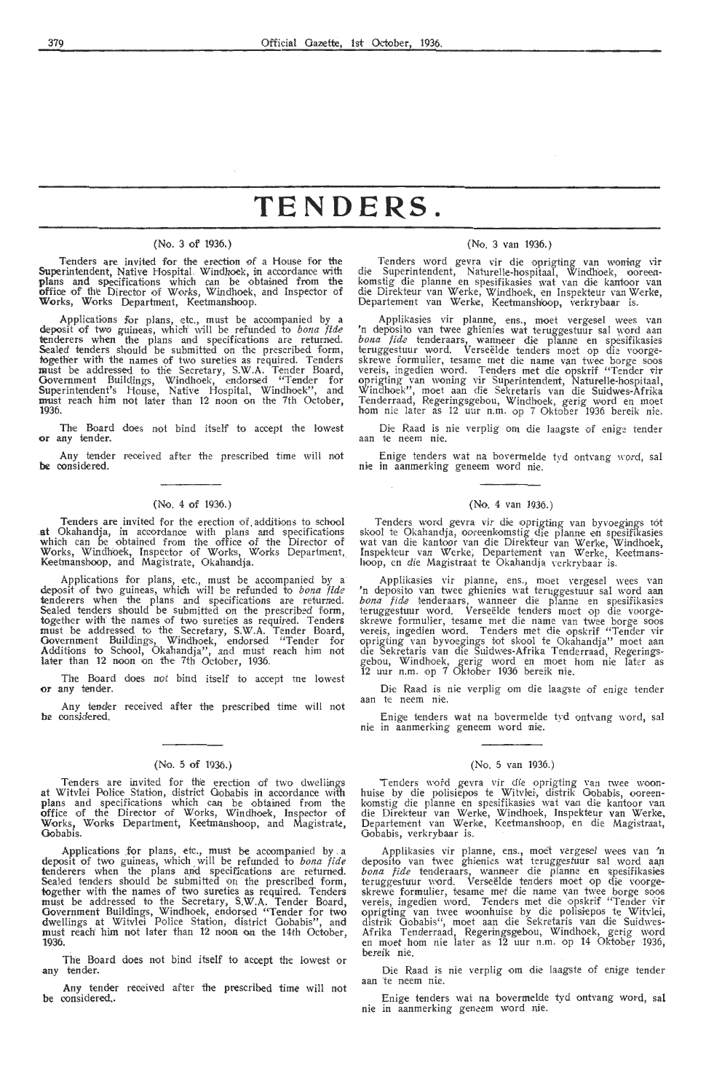# **TENDERS.**

### (No. 3 ot' 1936.)

Tenders are invited for the erection of a House for the Superintendent, Native Hospital. Windhoek, in accordance with plans and specifications which can be obtained from the office of the Director of Works, Windhoek, and Inspector of Works, Works Department, Keetmanshoop.

Applications for plans, etc., must be accompanied by a deposit of two guineas, which will be refunded to *bona fide* tenderers when the plans and specifications are returned. Sealed tenders should be submitted on the prescribed form, together with the names of two sureties as required. Tenders<br>must be addressed to the Secretary, S.W.A. Tender Board, Government Buildings, Windhoek, endorsed "Tender for Superintendent's House, Native Hospital, Windhoek", and must reach him not later than 12 noon on the 7th October, **1936.** 

Thie Board does not bind itself to accept the lowest **or** any tender.

Any tender received after the prescribed time will not **be** considered.

### (No. 4 of 1936.)

Tenders are invited for the erection of additions to school at Okahandja, in accordance with plans and specifications which can be obtained from the office of the Director of Works, Windhoek, Inspector of Works, Works Department,. Kieetmanshoop, and Magistrate, Okahandja.

Applications for plans, etc., must be accompanied by a deposit of two guineas, which will be refunded to *bona fide* tenderers when the plans and specifications are returned. Sealed tenders should be submitted on the presc together with the names of two sureties as required. Tenders must be addressed to the Secretary, S.W.A. Tender Board, Government Buildings, Windhoek, endorsed "Tender for Additions to School, Okahandja", and must reach him not later than 12 noon on the 7th October, 1936.

The Board does not bind itself to accept tne lowest **or** any tender.

Any tender received after the prescribed time will not **be** considered.

### (No. 5 of 1936.)

Tenders are invited for the erection of two dwellings at Witvlei Police Station, district Gobabis in accordance with plans and specifications which can be obtained from the office of the Director of Works, Windhoek, Inspector of Works, Works Department, Keetmanshoop, and Magistrate, Gobabis.

Applications .for plans, etc., must be accompanied by . a deposit of two guineas, which will be refunded to *bona fide*  tenderers when the plans arid specifications are returned. Sealed tenders should be submitted on the prescribed form, together with the names of two sureties as required. Tenders must be addressed to the Secretary, **S.W.A.** Tender Board, Government Buildings, Windhoek, endorsed "Tender for two dwellings at Witvlei Police Station, district Gobabis", and must reach; him not later than 12 noon on the 14th October, **1936.** 

The Board does not bind itself to accept the lowest or any tender.

Any tender reoeived after the prescribed time will not be considered..

### (No. 3 van 1936.)

Tenders word gevra vir die oprigting van woning vir die Superintendent, Naturelle-hospitaal, Windhoek, ooreenkomstig die planne en spesifikasies wat van die kantoor van die Direkteur van Werke, Windhoek, en Inspekteur van Departement van Werke, Keetmanshioop, verkrybaar is.

Applikasies vir planne, ens., moet vergesel wees van<br>'n deposito van twee ghienies wat teruggestuur sal word aan<br>*bona fide* tenderaars, wanneer die planne en spesifikasies teruggestuur word. Verseëlde tenders moet op die voorge-<br>skrewe formulier, tesame met die name van twee borge soos<br>vereis, ingedien word. Tenders met die opskrif "Tender vir oprigting van woning vir Superintendent, Naturelle-hospitaal, Windhoek", moet aan die Sekretaris van die Suidwes-Afrika Tenderraad, Regeringsgebou, Windhoek, gerig word en moet hom nie later as 12 uur n.m. op 7 Oktober 1936 bereik nie.

Die Raad is nie verplig om die laagste of enige tender aan te neem nie.

Enige tenders wat na bovermelde tyd ontvang word, sal nie in aanmerking geneem word nie.

### **(No. 4** van 1936.)

Tenders word gevra vir die oprigting van byvoegings tot skool te Okahandja, ooreenkomstig die planne en spesifikasies wat van die kantoor van die Direkteur van Werke, Windhoek, Inspekteur van Werke; Departement van Werke, Keetmans-<br>hoop, en die Magistraat te Okahandja verkrybaar is.

Applikasies vir planne, ens., moet vergesel wees van *'n* deposito van twee ghienies wat teruggestuur sal word aan teruggestuur word. Verseëlde tenders moet op die voorgeskrewe formulier, tesame met die name van twee borge soos vereis, ingedien word. Tenders met die opskrif "Tender vir oprigting van byvoegings tot skool te Okahandja" moet aan.<br>die Sekretaris van die Suidwes-Afrika Tenderraad, Regeringsgebou, Windhoek, gerig word en moet hom nie later as<br>12 uur n.m. op 7 Oktober 1936 bereik nie.

Die Raad is nie verplig om die laagste of enige tender aan te neem nie.

Enige tenders wat na bovermelde tyd ontvang word, sal nie in aanmerking geneem word nie.

### (No. 5 van 1936.)

Tenders word gevra vir die oprigting van twee woon-<br>huise by die polisiepos te Witvlei, distrik Gobabis, ooreen-<br>komstig die planne en spesifikasies wat van die kantoor van<br>die Direkteur van Werke, Windhoek, Inspekteur van Departement van Werke, Keetmanshoop, en die Magistraat, Gobabis, verkrybaar is.

Applikasies vir planne, ens., moet vergesel wees van 'n deposito van twee ghienies wat teruggestuur sal word aan *bona fide* tenderaars, wanneer die planne en spesifikasies teruggestuur word. Verseëlde tenders moet op die voorgeskrewe formulier, tesame met die name van twee borge soos vereis, ingedien word. Tenders met die opskrif "Tender vir oprigting van twee woonhuise by die polisiepos te Witvlei, distrik Gobabis", moet aan die Sekretaris van die Suidwes-Afrika Tenderraad, Regeringsgebou, Windhoek, gerig word en moet hom nie later as 12 uur n.m. op 14 Oktober 1936, bereik nie.

Die Raad is nie verplig om die laagste of enige tender aan te nieem nie.

Enige tenders wat na bovermelde tyd ontvang word, sal nie in aanmerking geneem word nie.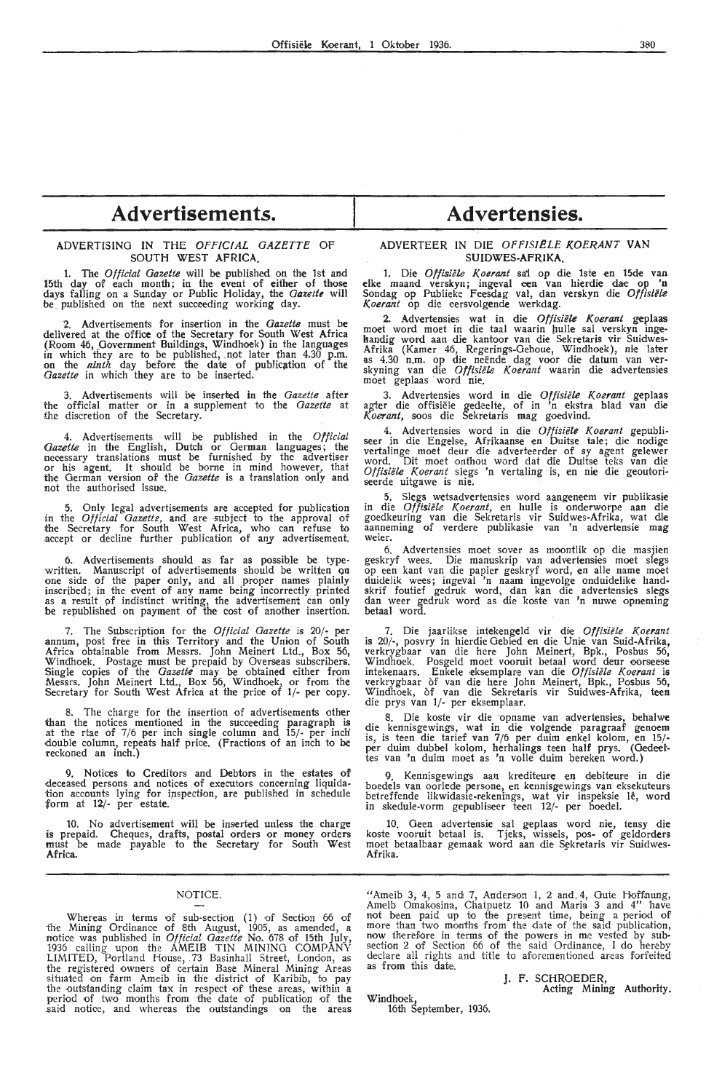## **Advertisements.**

### ADVERTISING IN THE OFFICIAL GAZETTE OF **SOUTH WEST AFRICA.**

1. The *Official Gazette* will be published on the 1st and 15th day of each month; in the event of either of those days falling on a Sunday or Public Holiday, the *Gazette* will be published on the next succeeding working day.

2. Advertisements for insertion in the *Gazette* must be delivered at the office of the Secretary for South West Africa (Room 46, Government Buildings, Windhoek) in the languages in which they are to be published, ,not later than 4.30 p.m. on the *ninth* day before the date of publication of the *Gazette* in which they are *to* be inserted.

3. Advertisements will be inserted in the *Gazette* after the official matter or in a supplement to the *Gazette* at the discretion of the Secretary.

4. Advertisements will be published in the *Official Gazette* in the English, Dutch or German languages; the necessary translations must be furnished by the advertiser or his agent. It should be home in mind however, that the German version of the *Gazette* is a translation onlv and not the authorised issue.

5. Only legal advertisements are accepted for publication in the *Official Gazette,* and are subject *to* the approval of the Secretary for South West Africa, who can refuse to accept or decline further publication of any advertisement.

6. Advertisements should as far as possible be typewritten. Manuscript of advertisements should be written on<br>one side of the paper only, and all proper names plainly inscribed; in the event of any name being incorrectly printed as a result of indistinct writing, the advertisement can only be republished on payment of the cost of another insertion.

7. The Subscription for the *Official Gazette* is 20/- per annum, post free in this Territory and the Union of South Africa obtainable from Messrs. John Meinert Ltd., Box 56, Windhoek. Postage must be prepaid by Overseas subscribers.<br>Single copies of the *Gazette* may be obtained either from Messrs. John Meinert Ltd., Box 56, Windhoek, or from the Secretary for South West **Africa** at the price of **1/-** per copy.

8. The charge for the insertion of advertisements other than the notices mentioned **in** the succeeding paragraph is at the rtae of 7/6 per inch single column and 15/- per inch' double column, repeats half prioe. (Fractions of an inch to **be**  reckoned an inch.)

9. Notices to Creditors and Debtors in the estates of deceased persons and notices of executors concerning liquidation accounts lying for ipspection, are published in schedule form at 12/- per estate.

10. No advertisement will be inserted unless the charge is prepaid. Cheques, drafts, postal orders or money orders must be made payable to the Secretary for South West **Africa.** 

### NOTICE.

Whereas in terms of sub-section (1) of Section 66 of ihe Mining Ordinanee of 8th August, 1905, as amended, a notice was publish·ed in *Official Gazette* No. 678 of 15th July, 1936 calling upon the AMEIB TIN MINING COMPANY LIMITED, Portland House, 73 Basinhall Street, London, as<br>the registered owners of certain Base Mineral Mining Areas<br>situated on farm Ameib in the district of Karibib, to pay the outstanding claim tax in respect of these areas, within a period of two months from the date of publication of the said notice, and whereas the outstandings on the areas

## **Advertensies.**

### ADVERTEER IN DIE OfFISIELE KOERANT VAN **SUIDWES-AFRIKA.**

1. Die *Offisiële Koerant* sa' op die 1ste en 15de van elke maand verskyn; ingeval een van hierdie dae op 'n Sondag op Publieke Feesdag val, dan verskyn die Offisiële *K.oerant* op die eersvolgende werkdag.

2. Advertensies wat in die *Offisiële Koerant* geplaas moet word moet in die taal waarin hulle sal verskyn ingehandig word aan die kantoor van die Sekretaris vir Suidwes-Afrika (Kamer 46, Regerings-Oeboue, Windhoek), nie later as 4.30 n.m. op die neende dag voor die datum van ver- skyning van die *Offisii!le K.oerant* waarin di,e advertensies moet geplaas word nie.

3. Advertensies word in die Offisiële Koerant geplaas agter die offisiele gedeelte, of in 'n ekstra hlad van die *K.oerant,* soos die Sekretaris mag goedvind.

4. Advertensies word in die *Offisiële Koerant* gepubli-<br>seer in die Engelse, Afrikaanse en Duitse tale; die nodige vertalinge moet deur die adverteerder of sy agent gelewer word. Dit moet onthou word dat die Duitse teks van die Offisiële Koerant slegs 'n vertaling is, en nie die geoutoriseerde uitgawe is nie.

5. Slegs wetsadvertensies word aangeneem vir publikasie in die *Offisiiile Koerant,* en hulle is onderworpe aan die goedkeuring van die Sekretaris vir Suidwes-Afrika, wat **die**  aanneming of verdere publikasie van **'n** advertensie **mag**  weier.

6. Advertensies moet sover as moontlik op die masjien geskryf wees. Die manuskrip van advertensies moet slegs op een kant van die papier geskryf word, en alle name moet duidelik wees; ingeval 'n naam ingevolge onduidelike handskrif foutief gedruk word, dan kan die advertensies slegs dan weer gedruk word as die koste van 'n nuwe opneming betaal word.

7. Die jaarlikse intekengeld vir die Offisiële Koerant is 20/-, posvry in hierdie Gebied en die Unie van Suid-Afrika, verkrygbaar van die here John Meinert, Bpk., Posbus 56, Windhoek. Posgeld moet vooruit betaal word deur oorseese<br>intekenaars. Enkele eksemplare van die *Offisiële Koerant* is verkrygbaar of van die here John Meinert, Bpk., Posbus 56, Windhoek, of van die Sekretaris vir Suidwes-Afrika, teen die prys van 1/- per eksemplaar.

8. Die koste vir die opname van advertensies, behalwe die kennisgewings, wat in die volgende paragraaf genoem is, is teen die tarief van 7/6 per duim enkel kolom, en 15/ per duim dubbel kolom, herhalings teen half prys. (Oedeettes van 'n duim moet as 'n volle duim bereken word.)

9. Kennisgewings aan krediteure en debiteure in die boedels van oorlede persone, en kennisgewings van eksekuteurs betreffende likwidasie-rekenings, wat vir inspeksie le, word in skedule-vorm gepubliseer teen 12/- per boedel.

10. Geen advertensie sal geplaas word nie, tensy die koste vooruit betaal is. Tjeks, wissels, pos- of geldorders moet betaalbaar gemaak word aan die Sekretaris vir Suidwes-**Afrika.** 

"Ameib 3, 4, 5 and 7, Anderson 1, 2 and 4, Gute Hoffnung, Ameib Omakosina, Chatpuetz 10 and Maria 3 and 4" have<br>not been paid up to the present time, being a period of<br>more than two months from the date of the said publication,<br>now therefore in terms of the powers in me vested by section 2 of Section 66 of the said Ordinance, I do hereby declare all rights and title to aforementioned areas forfeited as from this date.

> J. F. SCHROEDER, Acting Mining Authority.

Windhoek, 16th September, 1936.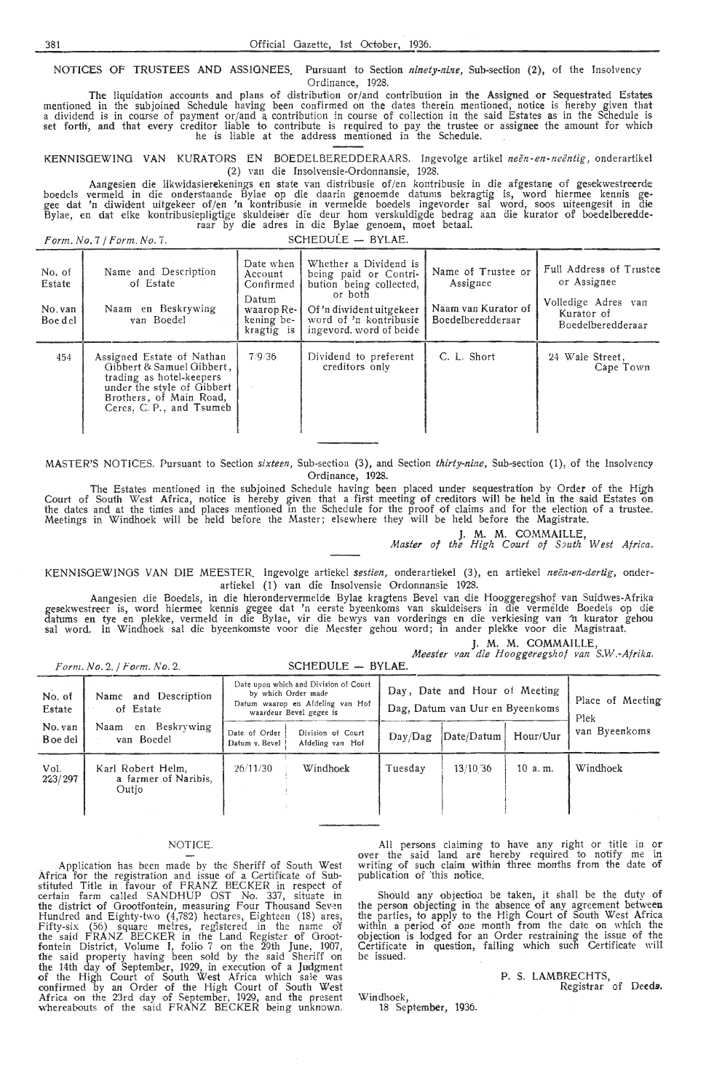NOTICES OF TRUSTEES AND ASSIGNEES. Pursuant to Section *ninety-nine*, Sub-section (2), of the Insolvency Ordinance, 1928.

The liquidation accounts and plans of distribution or/ and contribution in the Assigned or Sequestrated Estates mentioned in the subjoined Schedule having been confirmed on the dates therein mentioned, notice is hereby given that<br>a dividend is in course of payment or/and a contribution in course of collection in the said Estates as set forth', and that every creditor liable *to* contribute is required to pay the trustee or assignee the amount for which he is liable at the address mentioned in the Schedule.  $\qquad$ .

KENNISGEWING VAN KURA TORS EN BOEDELBEREDDERAARS. lngevolge artikel *neen -en- neentig ,* onderartikel (2) van die Insolvensie-Ordonnansie, 1928.

Aangesien die likwidasierekenings en state van distribusie of/en kontribusie in die afgestane of gesekwestreerde boedels vermeld in die onderstaande Bylae op die daarin genoemde datums bekragtig is, word hiermee kennis gegee dat 'n diwident uitgekeer of/en 'n kontribusie in vermelde boedels ingevorder sal word, soos uiteengesit in die Bylae, en dat elke kontribusiepligtige skuldeiser die deur horn verskuldigde bedrag aan die kurator of boedelberedde- raar by die adres in die Bylae genoem, moet betaal.

 $Form, No. 7 / Form, No. 7.$  SCHEDULE - BYLAE.

| No. of<br>Estate<br>No. van<br>Boe del | Name and Description<br>of Estate<br>Naam en Beskrywing<br>van Boedel                                                                                                   | Date when<br>Account<br>Confirmed<br>Datum<br>waarop Re-<br>kening be-<br>kragtig is | Whether a Dividend is<br>being paid or Contri-<br>bution being collected,<br>or both<br>Of 'n diwident uitgekeer<br>word of 'n kontribusie<br>ingevord, word of beide | Name of Trustee or<br>Assignee<br>Naam van Kurator of<br>Boedelberedderaar | Full Address of Trustee<br>or Assignee<br>Volledige Adres van<br>Kurator of<br>Boedelberedderaar |  |  |  |
|----------------------------------------|-------------------------------------------------------------------------------------------------------------------------------------------------------------------------|--------------------------------------------------------------------------------------|-----------------------------------------------------------------------------------------------------------------------------------------------------------------------|----------------------------------------------------------------------------|--------------------------------------------------------------------------------------------------|--|--|--|
| 454                                    | Assigned Estate of Nathan<br>Gibbert & Samuel Gibbert,<br>trading as hotel-keepers<br>under the style of Gibbert<br>Brothers, of Main Road,<br>Ceres, C. P., and Tsumeb | 7/9/36                                                                               | Dividend to preferent<br>creditors only                                                                                                                               | C. L. Short                                                                | 24 Wale Street.<br>Cape Town                                                                     |  |  |  |

MASTER'S NOTICES. Pursuant to Section *sixteen,* Sub-section (3), and Section *thirty-nine,* Sub-section (1), of the Insolvency Ordinance, 1928.

The Estates mentioned in the subjoined Schedule having been placed under sequestration by Order of the High Court of South West Africa, notice is hereby given that a first meeting of creditors will be held in the said Estates on<br>the dates and at the times and places mentioned in the Schedule for the proof of claims and for the e

**J.** M. M. COMMAILLE,

*Master of the High Court of South West Africa.* 

KENNISOEWINOS VAN DIE MEESTER. Ingevolge artiekel *sestien,* onderartiekel (3), en artiekel *neen-en-dertig,* onderartiekel (1) van die Insolvensie Ordonnansie 1928.

Aangesien die Boedels, in die hierondervermelde Bylae kragtens Bevel van die Hooggeregshof van Suidwes-Afrika gesekwestreer is, word hiermee kennis gegee dat 'n eerste byeenkoms van skuldeisers in die vermelde Boedels op die datums en tye en plekfoe, vermeld in die Bylae, vir die bewys van vorderings en die verkiesing van "n kurator gehou sal word. In Windhoek sal die byeenkomste voor die Meester gehou word; in ander plekke voor die Magistraat.

|  |  | J. M. M. COMMAILLE, |                                                |
|--|--|---------------------|------------------------------------------------|
|  |  |                     | Meester van die Hooggeregshof van S.W.-Afrika. |

|                                                       | $Form. No. 2.$ / Form. No. 2.                      | SCHEDULE - BYLAE.               |                                                                                                                             |                                                                  |                          |          |               |
|-------------------------------------------------------|----------------------------------------------------|---------------------------------|-----------------------------------------------------------------------------------------------------------------------------|------------------------------------------------------------------|--------------------------|----------|---------------|
| Name and Description<br>No. of<br>of Estate<br>Estate |                                                    |                                 | Date upon which and Division of Court<br>by which Order made<br>Datum waarop en Afdeling van Hof<br>waardeur Bevel gegee is | Day, Date and Hour of Meeting<br>Dag, Datum van Uur en Byeenkoms | Place of Meeting<br>Plek |          |               |
| No. van<br>Boe del                                    | en Beskrywing<br>Naam<br>van Boedel                | Date of Order<br>Datum v. Bevel | Division of Court<br>Afdeling van Hof                                                                                       | Day/Day                                                          | Date/Datum               | Hour/Uur | van Byeenkoms |
| Vol.<br>223/297                                       | Karl Robert Helm,<br>a farmer of Naribis,<br>Outio | 26/11/30                        | Windhoek                                                                                                                    | Tuesday                                                          | 13/10/36                 | 10 a.m.  | Windhoek      |

### NOTICE.

Application has been made by the Sheriff of South West<br>Africa for the registration and issue of a Certificate of Sub-<br>stituted Title in favour of FRANZ BECKER in respect of<br>certain farm called SANDHUP OST No. 337, situate the district of Grootfontein, measuring Four Thousand Seven<br>Hundred and Eighty-two (4,782) hectares, Eighteen (18) ares,<br>Fifty-six (56) square metres, registered in the name of<br>the said FRANZ BECKER in the Land Register of fontein District, Volume I, folio 7 on the 29th June, 1907, the said property having been sold by the said Sheriff on the 14th day of September, 1929, in execution of a Judgment of the High Court of South West Africa which sale was confirmed by an Order of the High Court of South West Africa on the 23rd day of September, 1929, and the present whereabouts of the said FRANZ BECKER being unknown.

All persons claiming to have any right or title in or over the said land are hereby required to notify me in writing of such claim within three months from the date of publication of 'this notice.

Should any objection be taken, it shall be the duty of the person objecting in the absence of any agreement between the parties, to apply to the High Court of South West Africa within a period of one month from the date on which the objection is lodged for an Order restraining the issue of the Certificate in question, failing which such Certificate will be issued.

### P. S. LAMBRECHTS, Registrar of Deeds.

Windhoek, 18 September, 1936.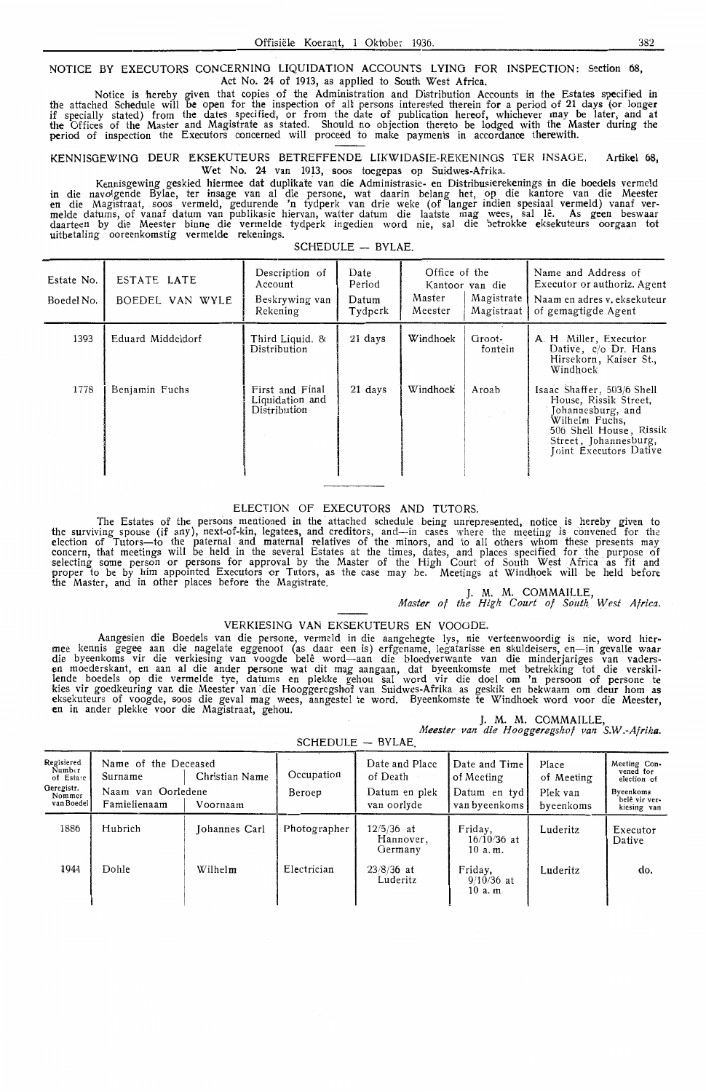NOTICE BY EXECUTORS CONCERNING LIQUIDATION ACCOUNTS LYING FOR INSPECTION: Section 68, Act No. 24 of 1913, as applied to South West Africa.

Notice is hereby given that copies of the Administration and Distribution Accounts in the Estates specified in the attached Schedule will be open for the inspection of all persons interested therein for a period of 21 days (or longer if specially stated) from the dates specified, or from the date of publication hereof, whichever may be later, and **at**  the Offices of the Master and Magistrate as stated. Should no objection thereto be lodged with the Master during the period of inspection the Executors oonoerned will proceed to make payments in accordance therewith.

KENNISGEWING DEUR EKSEKUTEURS BETREFFENDE LIKWIDASIE-REKENINGS TER !NSAGE. Artikel 68,

Wet No. 24 van 1913, soos toegepas op Suidwes-Afrika.<br>Kennisgewing geskied hiermee dat duplikate van die Administrasie- en Distribusierekenings in die boedels vermeld Kennisgewing geskied hiermee dat duplikate van die Administrasie- en Distribusierekenings in die boedels vermeld in die navolgende Bylae, ter insage van al die persone, wat daarin belang het, op die kantore van die Meester<br>en die Magistraat, soos vermeld, gedurende 'n tydperk van drie weke (of langer indien spesiaal vermeld) vanaf<br>me daarteen by die Meester binne die vermelde tydperk ingedien word nie, sal die betrokk**e e**ksekuteurs oorgaan tot uitbetaling ooreenkomstig **vermelde** rekenings.  $SCHFDULE - BYLAE$ .

| Estate No.<br>Boedel No. | ESTATE LATE<br>BOEDEL VAN WYLE | Description of<br>Account<br>Beskrywing van<br>Rekening | Date<br>Period<br>Datum<br>Tydperk | Office of the<br>Master<br>Meester | Kantoor van die<br>Magistrate<br>Magistraat | Name and Address of<br>Executor or authoriz, Agent<br>Naam en adres v. eksekuteur<br>of gemagtigde Agent                                                                 |
|--------------------------|--------------------------------|---------------------------------------------------------|------------------------------------|------------------------------------|---------------------------------------------|--------------------------------------------------------------------------------------------------------------------------------------------------------------------------|
| 1393                     | Eduard Middeldorf              | Third Liquid. &<br>Distribution                         | 21 days                            | Windhoek                           | Groot-<br>fontein                           | A. H. Miller, Executor<br>Dative, $c/o$ Dr. Hans<br>Hirsekorn, Kaiser St.,<br>Windhoek                                                                                   |
| 1778                     | Benjamin Fuchs                 | First and Final<br>Liquidation and<br>Distribution      | 21 days                            | Windhoek                           | Aroab                                       | Isaac Shaffer, 503/6 Shell<br>House, Rissik Street,<br>Johannesburg, and<br>Wilhelm Fuchs,<br>506 Shell House, Rissik<br>Street, Johannesburg,<br>Joint Executors Dative |

### ELECTION OF EXECUTORS **AND** TUTORS.

The Estates of the persons mentioned in the attached schedule being unrepresented, notice is hereby given to<br>ving spouse (if any), next-of-kin. legatees, and creditors, and—in cases where the meeting is convened for the the surviving spouse (if any), next-of-kin, legatees, and creditors, and—in cases where the meeting is convened for the<br>election of Tutors—to the paternal and maternal relatives of the minors, and to all others whom these concern, that meetings will be held in the several Estates at the times, dates, and places specified for the purpose of selecting some person or persons for approval by the Master of the High Court of South West Africa as fit and proper to be by him appointed Executors or Tutors, as the case may be. Meetings at Windhoek will be held before<br>the Master, and in other places before the Magistrate.

J. M. M. COMMAILLE,<br>*Master of the High Court of South West Africa*.

VERKIESING VAN EKSEKUTEURS EN VOOGDE.<br>Aangesien die Boedels van die persone, vermeld in die aangehegte lys, nie verteenwoordig is nie, word hier-Aangesien die Boedels van die persone, vermeld in die aangehegte lys, nie verteenwoordig is nie, word hier-<br>mee kennis gegee aan die nagelate eggenoot (as daar een is) erfgename, legatarisse en skuldeisers, en—in gevalle w lende boedels op die vermelde tye, datums en plekke gehou sal word vir die doel om 'n persoon of persone te kies vir goedkeuring van die Meester van die Hooggeregshof van Suidwes-Afrika as geskik en bekwaam om deur hom as<br>eksekuteurs of voogde, soos die geval mag wees, aangestel te word. Byeenkomste te Windhoek word voor die Mee

J. **M. M. COMMAILLE,**  *Meester van die Hooggeregshof van* **S.W.-Afrika.** 

SCHEDULE BVLAE

| ---- <i>---</i> --<br>$\mathbf{v}$ , $\mathbf{v}$ , $\mathbf{v}$        |                                                                       |                            |                      |                                                            |                                                              |                                              |                                                                                       |  |  |
|-------------------------------------------------------------------------|-----------------------------------------------------------------------|----------------------------|----------------------|------------------------------------------------------------|--------------------------------------------------------------|----------------------------------------------|---------------------------------------------------------------------------------------|--|--|
| Regisiered<br>Number<br>of Estare<br>Geregistr.<br>Nommer<br>van Boedel | Name of the Deceased<br>Surname<br>Naam van Oorledene<br>Famielienaam | Christian Name<br>Voornaam | Occupation<br>Beroep | Date and Place<br>of Death<br>Datum en plek<br>van oorlyde | Date and Time<br>of Meeting<br>Datum en tyd<br>van byeenkoms | Place<br>of Meeting<br>Plek van<br>byeenkoms | Meeting Con-<br>vened for<br>election of<br>Byeenkoms<br>belê vir ver-<br>kiesing van |  |  |
| 1886                                                                    | Hubrich                                                               | Johannes Carl              | Photographer         | $12/5/36$ at<br>Hannover,<br>Germany                       | Friday,<br>$16/10/36$ at<br>10 a.m.                          | Luderitz                                     | Executor<br>Dative                                                                    |  |  |
| 1944                                                                    | Dohle                                                                 | Wilhelm                    | Electrician          | $23/8/36$ at<br>Luderitz                                   | Friday.<br>$9/10/36$ at<br>10 a.m.                           | Luderitz                                     | do.                                                                                   |  |  |